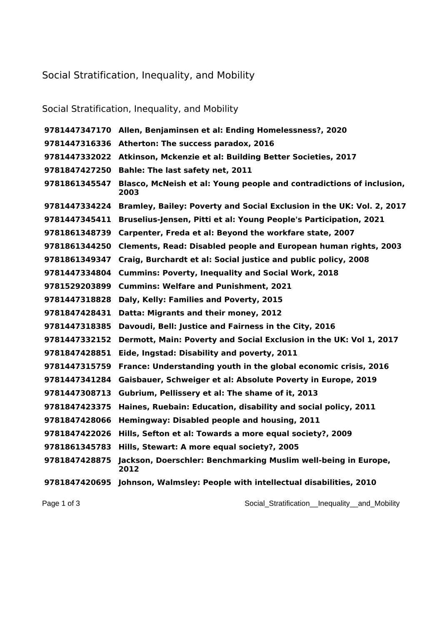## Social Stratification, Inequality, and Mobility

## Social Stratification, Inequality, and Mobility

 **Allen, Benjaminsen et al: Ending Homelessness?, 2020 Atherton: The success paradox, 2016 Atkinson, Mckenzie et al: Building Better Societies, 2017 Bahle: The last safety net, 2011 Blasco, McNeish et al: Young people and contradictions of inclusion, Bramley, Bailey: Poverty and Social Exclusion in the UK: Vol. 2, 2017 Bruselius-Jensen, Pitti et al: Young People's Participation, 2021 Carpenter, Freda et al: Beyond the workfare state, 2007 Clements, Read: Disabled people and European human rights, 2003 Craig, Burchardt et al: Social justice and public policy, 2008 Cummins: Poverty, Inequality and Social Work, 2018 Cummins: Welfare and Punishment, 2021 Daly, Kelly: Families and Poverty, 2015 Datta: Migrants and their money, 2012 Davoudi, Bell: Justice and Fairness in the City, 2016 Dermott, Main: Poverty and Social Exclusion in the UK: Vol 1, 2017 Eide, Ingstad: Disability and poverty, 2011 France: Understanding youth in the global economic crisis, 2016 Gaisbauer, Schweiger et al: Absolute Poverty in Europe, 2019 Gubrium, Pellissery et al: The shame of it, 2013 Haines, Ruebain: Education, disability and social policy, 2011 Hemingway: Disabled people and housing, 2011 Hills, Sefton et al: Towards a more equal society?, 2009 Hills, Stewart: A more equal society?, 2005 Jackson, Doerschler: Benchmarking Muslim well-being in Europe, Johnson, Walmsley: People with intellectual disabilities, 2010**

Page 1 of 3 Social\_Stratification\_Inequality\_and\_Mobility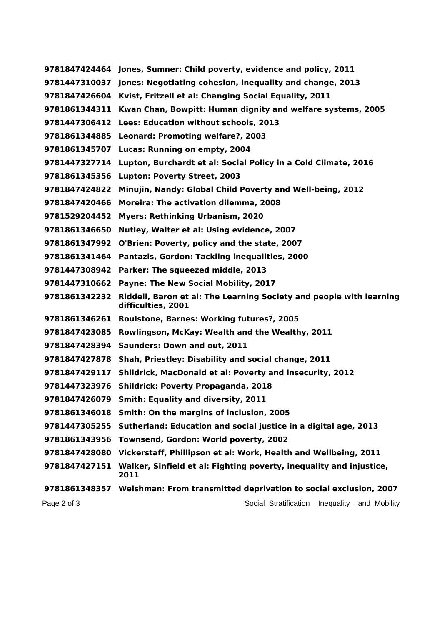|               | 9781847424464 Jones, Sumner: Child poverty, evidence and policy, 2011                     |
|---------------|-------------------------------------------------------------------------------------------|
|               | 9781447310037 Jones: Negotiating cohesion, inequality and change, 2013                    |
| 9781847426604 | Kvist, Fritzell et al: Changing Social Equality, 2011                                     |
| 9781861344311 | Kwan Chan, Bowpitt: Human dignity and welfare systems, 2005                               |
| 9781447306412 | Lees: Education without schools, 2013                                                     |
| 9781861344885 | Leonard: Promoting welfare?, 2003                                                         |
| 9781861345707 | Lucas: Running on empty, 2004                                                             |
| 9781447327714 | Lupton, Burchardt et al: Social Policy in a Cold Climate, 2016                            |
| 9781861345356 | <b>Lupton: Poverty Street, 2003</b>                                                       |
| 9781847424822 | Minujin, Nandy: Global Child Poverty and Well-being, 2012                                 |
| 9781847420466 | Moreira: The activation dilemma, 2008                                                     |
| 9781529204452 | <b>Myers: Rethinking Urbanism, 2020</b>                                                   |
| 9781861346650 | Nutley, Walter et al: Using evidence, 2007                                                |
| 9781861347992 | O'Brien: Poverty, policy and the state, 2007                                              |
| 9781861341464 | Pantazis, Gordon: Tackling inequalities, 2000                                             |
| 9781447308942 | Parker: The squeezed middle, 2013                                                         |
| 9781447310662 | Payne: The New Social Mobility, 2017                                                      |
| 9781861342232 | Riddell, Baron et al: The Learning Society and people with learning<br>difficulties, 2001 |
| 9781861346261 | Roulstone, Barnes: Working futures?, 2005                                                 |
| 9781847423085 | Rowlingson, McKay: Wealth and the Wealthy, 2011                                           |
| 9781847428394 | <b>Saunders: Down and out, 2011</b>                                                       |
| 9781847427878 | Shah, Priestley: Disability and social change, 2011                                       |
| 9781847429117 | Shildrick, MacDonald et al: Poverty and insecurity, 2012                                  |
|               | 9781447323976 Shildrick: Poverty Propaganda, 2018                                         |
|               | 9781847426079 Smith: Equality and diversity, 2011                                         |
| 9781861346018 | Smith: On the margins of inclusion, 2005                                                  |
| 9781447305255 | Sutherland: Education and social justice in a digital age, 2013                           |
| 9781861343956 | Townsend, Gordon: World poverty, 2002                                                     |
| 9781847428080 | Vickerstaff, Phillipson et al: Work, Health and Wellbeing, 2011                           |
| 9781847427151 | Walker, Sinfield et al: Fighting poverty, inequality and injustice,<br>2011               |
|               | 9781861348357 Welshman: From transmitted deprivation to social exclusion, 2007            |
| Page 2 of 3   | Social_Stratification__Inequality__and_Mobility                                           |